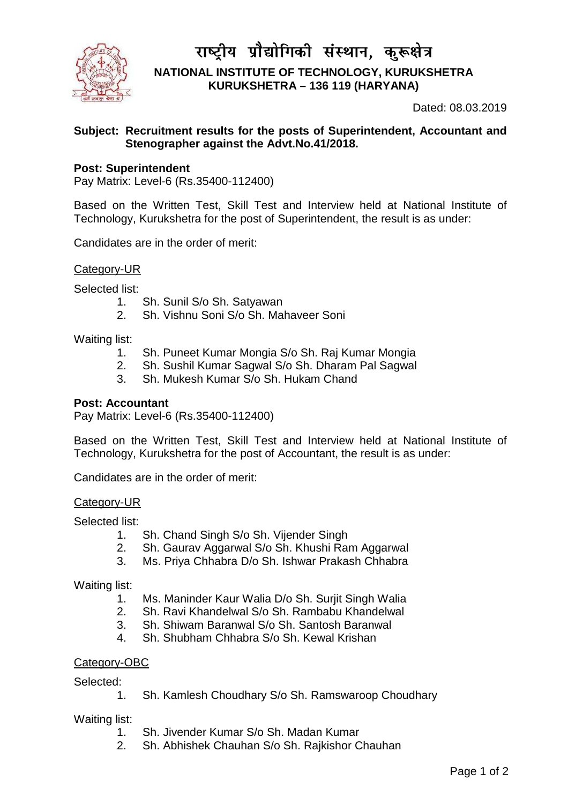

राष्ट्रीय प्रौद्योगिकी संस्थान, कुरू**क्षेत्र NATIONAL INSTITUTE OF TECHNOLOGY, KURUKSHETRA KURUKSHETRA – 136 119 (HARYANA)** 

Dated: 08.03.2019

# **Subject: Recruitment results for the posts of Superintendent, Accountant and Stenographer against the Advt.No.41/2018.**

### **Post: Superintendent**

Pay Matrix: Level-6 (Rs.35400-112400)

Based on the Written Test, Skill Test and Interview held at National Institute of Technology, Kurukshetra for the post of Superintendent, the result is as under:

Candidates are in the order of merit:

Category-UR

Selected list:

- 1. Sh. Sunil S/o Sh. Satyawan
- 2. Sh. Vishnu Soni S/o Sh. Mahaveer Soni

Waiting list:

- 1. Sh. Puneet Kumar Mongia S/o Sh. Raj Kumar Mongia
- 2. Sh. Sushil Kumar Sagwal S/o Sh. Dharam Pal Sagwal
- 3. Sh. Mukesh Kumar S/o Sh. Hukam Chand

### **Post: Accountant**

Pay Matrix: Level-6 (Rs.35400-112400)

Based on the Written Test, Skill Test and Interview held at National Institute of Technology, Kurukshetra for the post of Accountant, the result is as under:

Candidates are in the order of merit:

#### Category-UR

Selected list:

- 1. Sh. Chand Singh S/o Sh. Vijender Singh
- 2. Sh. Gaurav Aggarwal S/o Sh. Khushi Ram Aggarwal
- 3. Ms. Priya Chhabra D/o Sh. Ishwar Prakash Chhabra

Waiting list:

- 1. Ms. Maninder Kaur Walia D/o Sh. Surjit Singh Walia
- 2. Sh. Ravi Khandelwal S/o Sh. Rambabu Khandelwal
- 3. Sh. Shiwam Baranwal S/o Sh. Santosh Baranwal
- 4. Sh. Shubham Chhabra S/o Sh. Kewal Krishan

### Category-OBC

Selected:

1. Sh. Kamlesh Choudhary S/o Sh. Ramswaroop Choudhary

Waiting list:

- 1. Sh. Jivender Kumar S/o Sh. Madan Kumar
- 2. Sh. Abhishek Chauhan S/o Sh. Rajkishor Chauhan